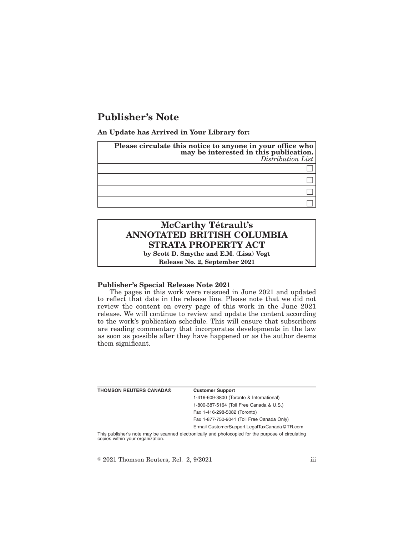## **Publisher's Note**

**An Update has Arrived in Your Library for:**

| Please circulate this notice to anyone in your office who<br>may be interested in this publication.<br>Distribution List |
|--------------------------------------------------------------------------------------------------------------------------|
|                                                                                                                          |
|                                                                                                                          |
|                                                                                                                          |
|                                                                                                                          |

# **McCarthy Tétrault's ANNOTATED BRITISH COLUMBIA STRATA PROPERTY ACT**

**by Scott D. Smythe and E.M. (Lisa) Vogt Release No. 2, September 2021**

#### **Publisher's Special Release Note 2021**

The pages in this work were reissued in June 2021 and updated to reflect that date in the release line. Please note that we did not review the content on every page of this work in the June 2021 release. We will continue to review and update the content according to the work's publication schedule. This will ensure that subscribers are reading commentary that incorporates developments in the law as soon as possible after they have happened or as the author deems them significant.

| <b>THOMSON REUTERS CANADA®</b>  | <b>Customer Support</b>                                                                            |
|---------------------------------|----------------------------------------------------------------------------------------------------|
|                                 | 1-416-609-3800 (Toronto & International)                                                           |
|                                 | 1-800-387-5164 (Toll Free Canada & U.S.)                                                           |
|                                 | Fax 1-416-298-5082 (Toronto)                                                                       |
|                                 | Fax 1-877-750-9041 (Toll Free Canada Only)                                                         |
|                                 | E-mail CustomerSupport.LegalTaxCanada@TR.com                                                       |
| conies within your organization | This publisher's note may be scanned electronically and photocopied for the purpose of circulating |

copies within your organization.

 $\textdegree$  2021 Thomson Reuters, Rel. 2, 9/2021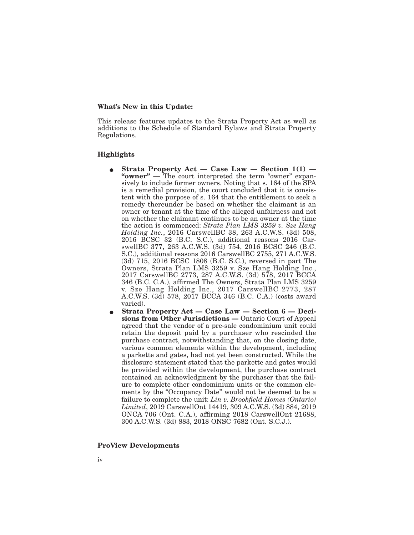#### **What's New in this Update:**

This release features updates to the Strata Property Act as well as additions to the Schedule of Standard Bylaws and Strata Property Regulations.

### **Highlights**

- E **Strata Property Act Case Law Section 1(1) — "owner" —** The court interpreted the term "owner" expansively to include former owners. Noting that s. 164 of the SPA is a remedial provision, the court concluded that it is consistent with the purpose of s. 164 that the entitlement to seek a remedy thereunder be based on whether the claimant is an owner or tenant at the time of the alleged unfairness and not on whether the claimant continues to be an owner at the time the action is commenced: *Strata Plan LMS 3259 v. Sze Hang Holding Inc.*, 2016 CarswellBC 38, 263 A.C.W.S. (3d) 508, 2016 BCSC 32 (B.C. S.C.), additional reasons 2016 CarswellBC 377, 263 A.C.W.S. (3d) 754, 2016 BCSC 246 (B.C. S.C.), additional reasons 2016 CarswellBC 2755, 271 A.C.W.S. (3d) 715, 2016 BCSC 1808 (B.C. S.C.), reversed in part The Owners, Strata Plan LMS 3259 v. Sze Hang Holding Inc., 2017 CarswellBC 2773, 287 A.C.W.S. (3d) 578, 2017 BCCA 346 (B.C. C.A.), affirmed The Owners, Strata Plan LMS 3259 v. Sze Hang Holding Inc., 2017 CarswellBC 2773, 287 A.C.W.S. (3d) 578, 2017 BCCA 346 (B.C. C.A.) (costs award varied).
- E **Strata Property Act Case Law Section 6 Decisions from Other Jurisdictions —** Ontario Court of Appeal agreed that the vendor of a pre-sale condominium unit could retain the deposit paid by a purchaser who rescinded the purchase contract, notwithstanding that, on the closing date, various common elements within the development, including a parkette and gates, had not yet been constructed. While the disclosure statement stated that the parkette and gates would be provided within the development, the purchase contract contained an acknowledgment by the purchaser that the failure to complete other condominium units or the common elements by the "Occupancy Date" would not be deemed to be a failure to complete the unit: *Lin v. Brookfield Homes (Ontario) Limited*, 2019 CarswellOnt 14419, 309 A.C.W.S. (3d) 884, 2019 ONCA 706 (Ont. C.A.), affirming 2018 CarswellOnt 21688, 300 A.C.W.S. (3d) 883, 2018 ONSC 7682 (Ont. S.C.J.).

#### **ProView Developments**